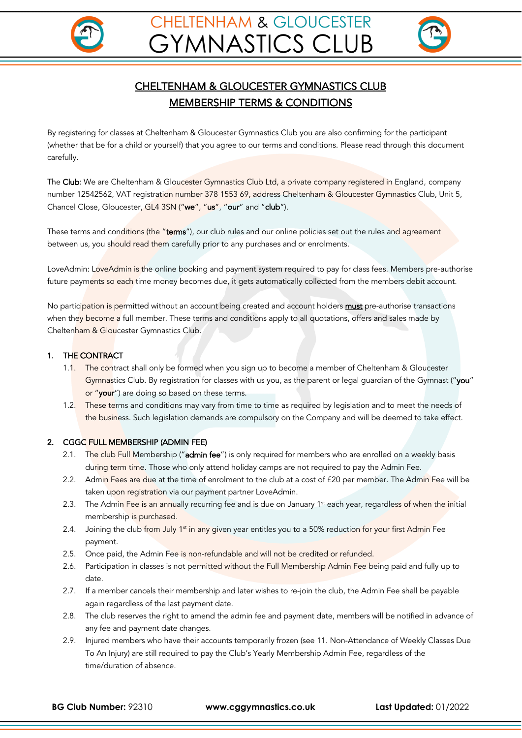



# CHELTENHAM & GLOUCESTER GYMNASTICS CLUB MEMBERSHIP TERMS & CONDITIONS

By registering for classes at Cheltenham & Gloucester Gymnastics Club you are also confirming for the participant (whether that be for a child or yourself) that you agree to our terms and conditions. Please read through this document carefully.

The Club: We are Cheltenham & Gloucester Gymnastics Club Ltd, a private company registered in England, company number 12542562, VAT registration number 378 1553 69, address Cheltenham & Gloucester Gymnastics Club, Unit 5, Chancel Close, Gloucester, GL4 3SN ("we", "us", "our" and "club").

These terms and conditions (the "terms"), our club rules and our online policies set out the rules and agreement between us, you should read them carefully prior to any purchases and or enrolments.

LoveAdmin: LoveAdmin is the online booking and payment system required to pay for class fees. Members pre-authorise future payments so each time money becomes due, it gets automatically collected from the members debit account.

No participation is permitted without an account being created and account holders must pre-authorise transactions when they become a full member. These terms and conditions apply to all quotations, offers and sales made by Cheltenham & Gloucester Gymnastics Club.

# 1. THE CONTRACT

- 1.1. The contract shall only be formed when you sign up to become a member of Cheltenham & Gloucester Gymnastics Club. By registration for classes with us you, as the parent or legal guardian of the Gymnast ("you" or "your") are doing so based on these terms.
- 1.2. These terms and conditions may vary from time to time as required by legislation and to meet the needs of the business. Such legislation demands are compulsory on the Company and will be deemed to take effect.

# 2. CGGC FULL MEMBERSHIP (ADMIN FEE)

- 2.1. The club Full Membership ("admin fee") is only required for members who are enrolled on a weekly basis during term time. Those who only attend holiday camps are not required to pay the Admin Fee.
- 2.2. Admin Fees are due at the time of enrolment to the club at a cost of £20 per member. The Admin Fee will be taken upon registration via our payment partner LoveAdmin.
- 2.3. The Admin Fee is an annually recurring fee and is due on January 1<sup>st</sup> each year, regardless of when the initial membership is purchased.
- 2.4. Joining the club from July 1<sup>st</sup> in any given year entitles you to a 50% reduction for your first Admin Fee payment.
- 2.5. Once paid, the Admin Fee is non-refundable and will not be credited or refunded.
- 2.6. Participation in classes is not permitted without the Full Membership Admin Fee being paid and fully up to date.
- 2.7. If a member cancels their membership and later wishes to re-join the club, the Admin Fee shall be payable again regardless of the last payment date.
- 2.8. The club reserves the right to amend the admin fee and payment date, members will be notified in advance of any fee and payment date changes.
- 2.9. Injured members who have their accounts temporarily frozen (see 11. Non-Attendance of Weekly Classes Due To An Injury) are still required to pay the Club's Yearly Membership Admin Fee, regardless of the time/duration of absence.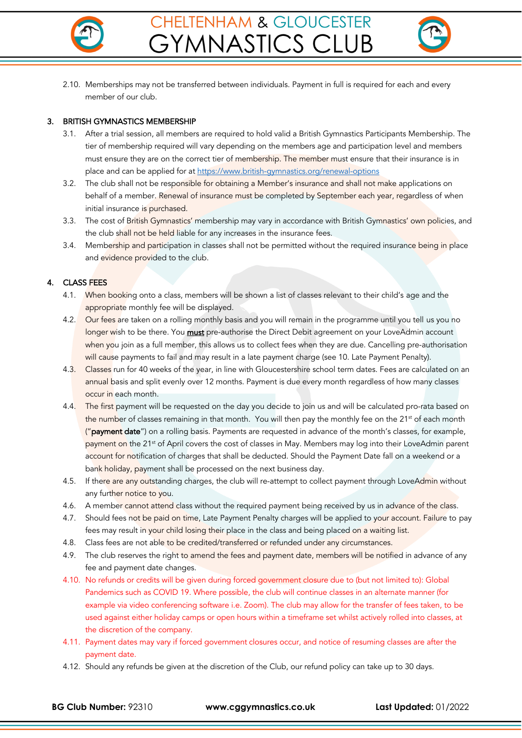



2.10. Memberships may not be transferred between individuals. Payment in full is required for each and every member of our club.

#### 3. BRITISH GYMNASTICS MEMBERSHIP

- 3.1. After a trial session, all members are required to hold valid a British Gymnastics Participants Membership. The tier of membership required will vary depending on the members age and participation level and members must ensure they are on the correct tier of membership. The member must ensure that their insurance is in place and can be applied for at https://www.british-gymnastics.org/renewal-options
- 3.2. The club shall not be responsible for obtaining a Member's insurance and shall not make applications on behalf of a member. Renewal of insurance must be completed by September each year, regardless of when initial insurance is purchased.
- 3.3. The cost of British Gymnastics' membership may vary in accordance with British Gymnastics' own policies, and the club shall not be held liable for any increases in the insurance fees.
- 3.4. Membership and participation in classes shall not be permitted without the required insurance being in place and evidence provided to the club.

# 4. CLASS FEES

- 4.1. When booking onto a class, members will be shown a list of classes relevant to their child's age and the appropriate monthly fee will be displayed.
- 4.2. Our fees are taken on a rolling monthly basis and you will remain in the programme until you tell us you no longer wish to be there. You **must** pre-authorise the Direct Debit agreement on your LoveAdmin account when you join as a full member, this allows us to collect fees when they are due. Cancelling pre-authorisation will cause payments to fail and may result in a late payment charge (see 10. Late Payment Penalty).
- 4.3. Classes run for 40 weeks of the year, in line with Gloucestershire school term dates. Fees are calculated on an annual basis and split evenly over 12 months. Payment is due every month regardless of how many classes occur in each month.
- 4.4. The first payment will be requested on the day you decide to join us and will be calculated pro-rata based on the number of classes remaining in that month. You will then pay the monthly fee on the 21<sup>st</sup> of each month ("payment date") on a rolling basis. Payments are requested in advance of the month's classes, for example, payment on the 21<sup>st</sup> of April covers the cost of classes in May. Members may log into their LoveAdmin parent account for notification of charges that shall be deducted. Should the Payment Date fall on a weekend or a bank holiday, payment shall be processed on the next business day.
- 4.5. If there are any outstanding charges, the club will re-attempt to collect payment through LoveAdmin without any further notice to you.
- 4.6. A member cannot attend class without the required payment being received by us in advance of the class.
- 4.7. Should fees not be paid on time, Late Payment Penalty charges will be applied to your account. Failure to pay fees may result in your child losing their place in the class and being placed on a waiting list.
- 4.8. Class fees are not able to be credited/transferred or refunded under any circumstances.
- 4.9. The club reserves the right to amend the fees and payment date, members will be notified in advance of any fee and payment date changes.
- 4.10. No refunds or credits will be given during forced government closure due to (but not limited to): Global Pandemics such as COVID 19. Where possible, the club will continue classes in an alternate manner (for example via video conferencing software i.e. Zoom). The club may allow for the transfer of fees taken, to be used against either holiday camps or open hours within a timeframe set whilst actively rolled into classes, at the discretion of the company.
- 4.11. Payment dates may vary if forced government closures occur, and notice of resuming classes are after the payment date.
- 4.12. Should any refunds be given at the discretion of the Club, our refund policy can take up to 30 days.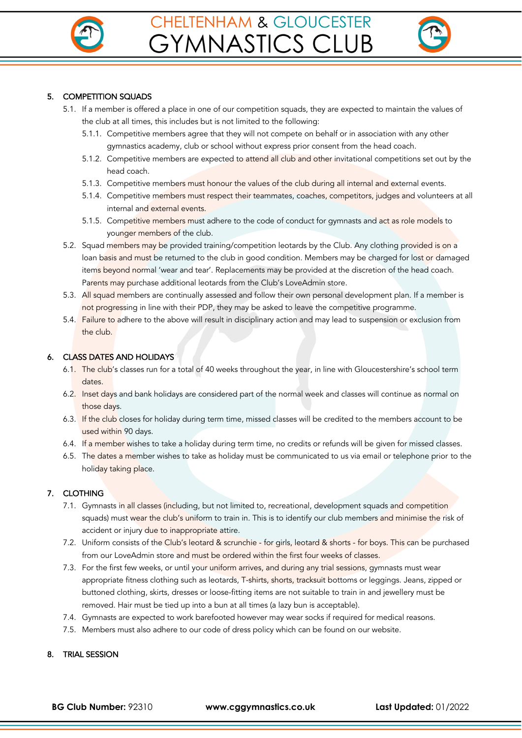



# 5. COMPETITION SQUADS

- 5.1. If a member is offered a place in one of our competition squads, they are expected to maintain the values of the club at all times, this includes but is not limited to the following:
	- 5.1.1. Competitive members agree that they will not compete on behalf or in association with any other gymnastics academy, club or school without express prior consent from the head coach.
	- 5.1.2. Competitive members are expected to attend all club and other invitational competitions set out by the head coach.
	- 5.1.3. Competitive members must honour the values of the club during all internal and external events.
	- 5.1.4. Competitive members must respect their teammates, coaches, competitors, judges and volunteers at all internal and external events.
	- 5.1.5. Competitive members must adhere to the code of conduct for gymnasts and act as role models to younger members of the club.
- 5.2. Squad members may be provided training/competition leotards by the Club. Any clothing provided is on a loan basis and must be returned to the club in good condition. Members may be charged for lost or damaged items beyond normal 'wear and tear'. Replacements may be provided at the discretion of the head coach. Parents may purchase additional leotards from the Club's LoveAdmin store.
- 5.3. All squad members are continually assessed and follow their own personal development plan. If a member is not progressing in line with their PDP, they may be asked to leave the competitive programme.
- 5.4. Failure to adhere to the above will result in disciplinary action and may lead to suspension or exclusion from the club.

# 6. CLASS DATES AND HOLIDAYS

- 6.1. The club's classes run for a total of 40 weeks throughout the year, in line with Gloucestershire's school term dates.
- 6.2. Inset days and bank holidays are considered part of the normal week and classes will continue as normal on those days.
- 6.3. If the club closes for holiday during term time, missed classes will be credited to the members account to be used within 90 days.
- 6.4. If a member wishes to take a holiday during term time, no credits or refunds will be given for missed classes.
- 6.5. The dates a member wishes to take as holiday must be communicated to us via email or telephone prior to the holiday taking place.

# 7. CLOTHING

- 7.1. Gymnasts in all classes (including, but not limited to, recreational, development squads and competition squads) must wear the club's uniform to train in. This is to identify our club members and minimise the risk of accident or injury due to inappropriate attire.
- 7.2. Uniform consists of the Club's leotard & scrunchie for girls, leotard & shorts for boys. This can be purchased from our LoveAdmin store and must be ordered within the first four weeks of classes.
- 7.3. For the first few weeks, or until your uniform arrives, and during any trial sessions, gymnasts must wear appropriate fitness clothing such as leotards, T-shirts, shorts, tracksuit bottoms or leggings. Jeans, zipped or buttoned clothing, skirts, dresses or loose-fitting items are not suitable to train in and jewellery must be removed. Hair must be tied up into a bun at all times (a lazy bun is acceptable).
- 7.4. Gymnasts are expected to work barefooted however may wear socks if required for medical reasons.
- 7.5. Members must also adhere to our code of dress policy which can be found on our website.

#### 8. TRIAL SESSION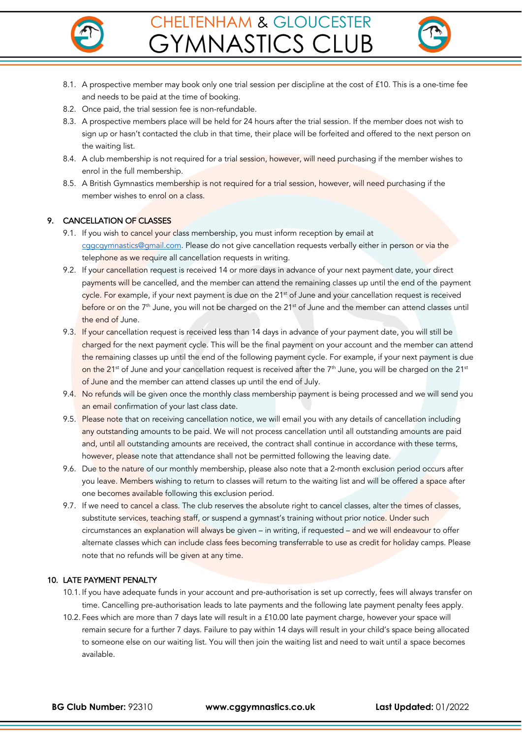



- 8.1. A prospective member may book only one trial session per discipline at the cost of £10. This is a one-time fee and needs to be paid at the time of booking.
- 8.2. Once paid, the trial session fee is non-refundable.
- 8.3. A prospective members place will be held for 24 hours after the trial session. If the member does not wish to sign up or hasn't contacted the club in that time, their place will be forfeited and offered to the next person on the waiting list.
- 8.4. A club membership is not required for a trial session, however, will need purchasing if the member wishes to enrol in the full membership.
- 8.5. A British Gymnastics membership is not required for a trial session, however, will need purchasing if the member wishes to enrol on a class.

# 9. CANCELLATION OF CLASSES

- 9.1. If you wish to cancel your class membership, you must inform reception by email at cggcgymnastics@gmail.com. Please do not give cancellation requests verbally either in person or via the telephone as we require all cancellation requests in writing.
- 9.2. If your cancellation request is received 14 or more days in advance of your next payment date, your direct payments will be cancelled, and the member can attend the remaining classes up until the end of the payment cycle. For example, if your next payment is due on the 21<sup>st</sup> of June and your cancellation request is received before or on the 7<sup>th</sup> June, you will not be charged on the 21<sup>st</sup> of June and the member can attend classes until the end of June.
- 9.3. If your cancellation request is received less than 14 days in advance of your payment date, you will still be charged for the next payment cycle. This will be the final payment on your account and the member can attend the remaining classes up until the end of the following payment cycle. For example, if your next payment is due on the 21<sup>st</sup> of June and your cancellation request is received after the 7<sup>th</sup> June, you will be charged on the 21<sup>st</sup> of June and the member can attend classes up until the end of July.
- 9.4. No refunds will be given once the monthly class membership payment is being processed and we will send you an email confirmation of your last class date.
- 9.5. Please note that on receiving cancellation notice, we will email you with any details of cancellation including any outstanding amounts to be paid. We will not process cancellation until all outstanding amounts are paid and, until all outstanding amounts are received, the contract shall continue in accordance with these terms, however, please note that attendance shall not be permitted following the leaving date.
- 9.6. Due to the nature of our monthly membership, please also note that a 2-month exclusion period occurs after you leave. Members wishing to return to classes will return to the waiting list and will be offered a space after one becomes available following this exclusion period.
- 9.7. If we need to cancel a class. The club reserves the absolute right to cancel classes, alter the times of classes, substitute services, teaching staff, or suspend a gymnast's training without prior notice. Under such circumstances an explanation will always be given – in writing, if requested – and we will endeavour to offer alternate classes which can include class fees becoming transferrable to use as credit for holiday camps. Please note that no refunds will be given at any time.

# 10. LATE PAYMENT PENALTY

- 10.1. If you have adequate funds in your account and pre-authorisation is set up correctly, fees will always transfer on time. Cancelling pre-authorisation leads to late payments and the following late payment penalty fees apply.
- 10.2. Fees which are more than 7 days late will result in a £10.00 late payment charge, however your space will remain secure for a further 7 days. Failure to pay within 14 days will result in your child's space being allocated to someone else on our waiting list. You will then join the waiting list and need to wait until a space becomes available.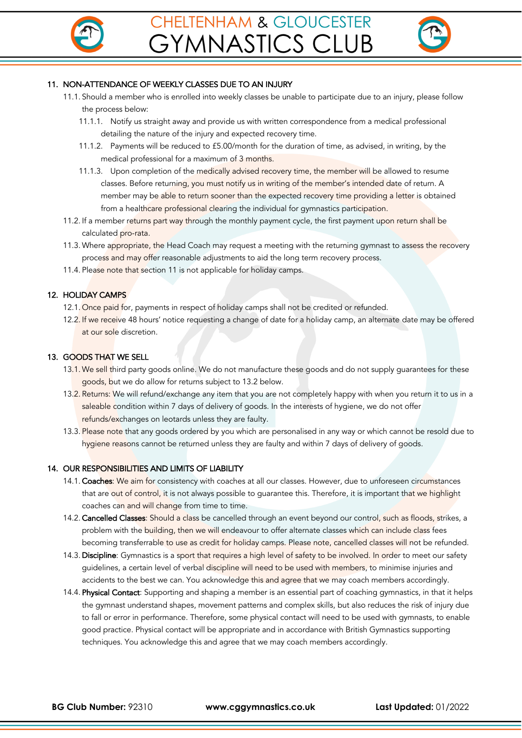



# 11. NON-ATTENDANCE OF WEEKLY CLASSES DUE TO AN INJURY

- 11.1. Should a member who is enrolled into weekly classes be unable to participate due to an injury, please follow the process below:
	- 11.1.1. Notify us straight away and provide us with written correspondence from a medical professional detailing the nature of the injury and expected recovery time.
	- 11.1.2. Payments will be reduced to £5.00/month for the duration of time, as advised, in writing, by the medical professional for a maximum of 3 months.
	- 11.1.3. Upon completion of the medically advised recovery time, the member will be allowed to resume classes. Before returning, you must notify us in writing of the member's intended date of return. A member may be able to return sooner than the expected recovery time providing a letter is obtained from a healthcare professional clearing the individual for gymnastics participation.
- 11.2. If a member returns part way through the monthly payment cycle, the first payment upon return shall be calculated pro-rata.
- 11.3. Where appropriate, the Head Coach may request a meeting with the returning gymnast to assess the recovery process and may offer reasonable adjustments to aid the long term recovery process.
- 11.4. Please note that section 11 is not applicable for holiday camps.

#### 12. HOLIDAY CAMPS

- 12.1. Once paid for, payments in respect of holiday camps shall not be credited or refunded.
- 12.2. If we receive 48 hours' notice requesting a change of date for a holiday camp, an alternate date may be offered at our sole discretion.

#### 13. GOODS THAT WE SELL

- 13.1. We sell third party goods online. We do not manufacture these goods and do not supply guarantees for these goods, but we do allow for returns subject to 13.2 below.
- 13.2. Returns: We will refund/exchange any item that you are not completely happy with when you return it to us in a saleable condition within 7 days of delivery of goods. In the interests of hygiene, we do not offer refunds/exchanges on leotards unless they are faulty.
- 13.3. Please note that any goods ordered by you which are personalised in any way or which cannot be resold due to hygiene reasons cannot be returned unless they are faulty and within 7 days of delivery of goods.

#### 14. OUR RESPONSIBILITIES AND LIMITS OF LIABILITY

- 14.1. Coaches: We aim for consistency with coaches at all our classes. However, due to unforeseen circumstances that are out of control, it is not always possible to guarantee this. Therefore, it is important that we highlight coaches can and will change from time to time.
- 14.2. Cancelled Classes: Should a class be cancelled through an event beyond our control, such as floods, strikes, a problem with the building, then we will endeavour to offer alternate classes which can include class fees becoming transferrable to use as credit for holiday camps. Please note, cancelled classes will not be refunded.
- 14.3. Discipline: Gymnastics is a sport that requires a high level of safety to be involved. In order to meet our safety guidelines, a certain level of verbal discipline will need to be used with members, to minimise injuries and accidents to the best we can. You acknowledge this and agree that we may coach members accordingly.
- 14.4. Physical Contact: Supporting and shaping a member is an essential part of coaching gymnastics, in that it helps the gymnast understand shapes, movement patterns and complex skills, but also reduces the risk of injury due to fall or error in performance. Therefore, some physical contact will need to be used with gymnasts, to enable good practice. Physical contact will be appropriate and in accordance with British Gymnastics supporting techniques. You acknowledge this and agree that we may coach members accordingly.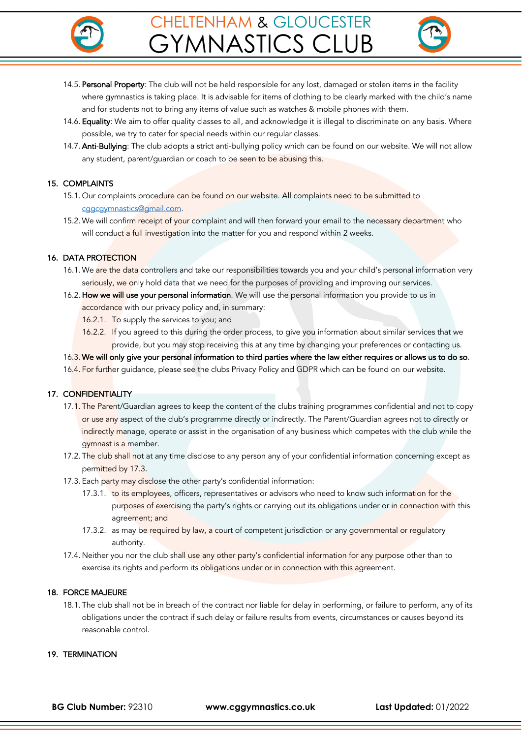



- 14.5. Personal Property: The club will not be held responsible for any lost, damaged or stolen items in the facility where gymnastics is taking place. It is advisable for items of clothing to be clearly marked with the child's name and for students not to bring any items of value such as watches & mobile phones with them.
- 14.6. Equality: We aim to offer quality classes to all, and acknowledge it is illegal to discriminate on any basis. Where possible, we try to cater for special needs within our regular classes.
- 14.7. Anti-Bullying: The club adopts a strict anti-bullying policy which can be found on our website. We will not allow any student, parent/guardian or coach to be seen to be abusing this.

# 15. COMPLAINTS

- 15.1. Our complaints procedure can be found on our website. All complaints need to be submitted to cggcgymnastics@gmail.com.
- 15.2. We will confirm receipt of your complaint and will then forward your email to the necessary department who will conduct a full investigation into the matter for you and respond within 2 weeks.

# 16. DATA PROTECTION

- 16.1. We are the data controllers and take our responsibilities towards you and your child's personal information very seriously, we only hold data that we need for the purposes of providing and improving our services.
- 16.2. How we will use your personal information. We will use the personal information you provide to us in accordance with our privacy policy and, in summary:
	- 16.2.1. To supply the services to you; and
	- 16.2.2. If you agreed to this during the order process, to give you information about similar services that we provide, but you may stop receiving this at any time by changing your preferences or contacting us.
- 16.3. We will only give your personal information to third parties where the law either requires or allows us to do so.
- 16.4. For further guidance, please see the clubs Privacy Policy and GDPR which can be found on our website.

#### 17. CONFIDENTIALITY

- 17.1. The Parent/Guardian agrees to keep the content of the clubs training programmes confidential and not to copy or use any aspect of the club's programme directly or indirectly. The Parent/Guardian agrees not to directly or indirectly manage, operate or assist in the organisation of any business which competes with the club while the gymnast is a member.
- 17.2. The club shall not at any time disclose to any person any of your confidential information concerning except as permitted by 17.3.
- 17.3. Each party may disclose the other party's confidential information:
	- 17.3.1. to its employees, officers, representatives or advisors who need to know such information for the purposes of exercising the party's rights or carrying out its obligations under or in connection with this agreement; and
	- 17.3.2. as may be required by law, a court of competent jurisdiction or any governmental or regulatory authority.
- 17.4. Neither you nor the club shall use any other party's confidential information for any purpose other than to exercise its rights and perform its obligations under or in connection with this agreement.

#### 18. FORCE MAJEURE

18.1. The club shall not be in breach of the contract nor liable for delay in performing, or failure to perform, any of its obligations under the contract if such delay or failure results from events, circumstances or causes beyond its reasonable control.

#### 19. TERMINATION